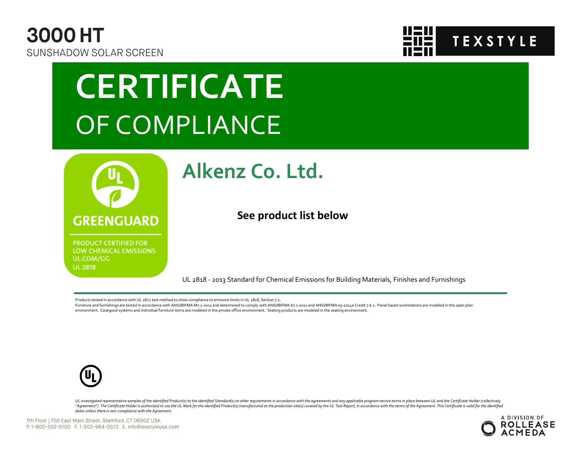



## **CERTIFICATE** OF COMPLIANCE



**PRODUCT CERTIFIED FOR** LOW CHEMICAL EMISSIONS UL.COM/GG **UL 2818** 

### **Alkenz Co. Ltd.**

**See product list below**

UL 2818 - 2013 Standard for Chemical Emissions for Building Materials, Finishes and Furnishings

Products tested in accordance with UL 2821 test method to show compliance to emission limits in UL 2818, Section 7.1.

Furniture and furnishings are tested in accordance with ANSI/BIFMA M7.1-2011 and determined to comply with ANSI/BIFMA X7.1-2011 and ANSI/BIFMA e3-2014e Credit 7.6.1. Panel based workstations are modeled in the open plan environment. Casegood systems and individual furniture items are modeled in the private office environment. Seating products are modeled in the seating environment.



UL investigated representative samples of the identified Product(s) to the identified Standard(s) or other requirements in accordance with the agreements and any applicable program service terms in place between UL and the "Agreement"). The Certificate Holder is authorized to use the UL Mark for the identified Product(s) manufactured at the production site(s) covered by the UL Test Report, in accordance with the terms of the Agreement. This *dates unless there is non-compliance with the Agreement.*

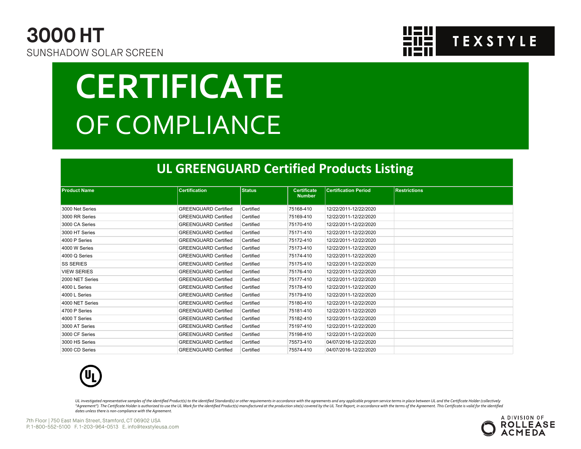



# **CERTIFICATE** OF COMPLIANCE

#### **UL GREENGUARD Certified Products Listing**

| <b>Product Name</b> | <b>Certification</b>        | <b>Status</b> | <b>Certificate</b><br><b>Number</b> | <b>Certification Period</b> | <b>Restrictions</b> |
|---------------------|-----------------------------|---------------|-------------------------------------|-----------------------------|---------------------|
| 3000 Net Series     | <b>GREENGUARD Certified</b> | Certified     | 75168-410                           | 12/22/2011-12/22/2020       |                     |
| 3000 RR Series      | <b>GREENGUARD Certified</b> | Certified     | 75169-410                           | 12/22/2011-12/22/2020       |                     |
| 3000 CA Series      | <b>GREENGUARD Certified</b> | Certified     | 75170-410                           | 12/22/2011-12/22/2020       |                     |
| 3000 HT Series      | <b>GREENGUARD Certified</b> | Certified     | 75171-410                           | 12/22/2011-12/22/2020       |                     |
| 4000 P Series       | <b>GREENGUARD Certified</b> | Certified     | 75172-410                           | 12/22/2011-12/22/2020       |                     |
| 4000 W Series       | <b>GREENGUARD Certified</b> | Certified     | 75173-410                           | 12/22/2011-12/22/2020       |                     |
| 4000 Q Series       | <b>GREENGUARD Certified</b> | Certified     | 75174-410                           | 12/22/2011-12/22/2020       |                     |
| <b>SS SERIES</b>    | <b>GREENGUARD Certified</b> | Certified     | 75175-410                           | 12/22/2011-12/22/2020       |                     |
| <b>VIEW SERIES</b>  | <b>GREENGUARD Certified</b> | Certified     | 75176-410                           | 12/22/2011-12/22/2020       |                     |
| 2000 NET Series     | <b>GREENGUARD Certified</b> | Certified     | 75177-410                           | 12/22/2011-12/22/2020       |                     |
| 4000 L Series       | <b>GREENGUARD Certified</b> | Certified     | 75178-410                           | 12/22/2011-12/22/2020       |                     |
| 4000 L Series       | <b>GREENGUARD Certified</b> | Certified     | 75179-410                           | 12/22/2011-12/22/2020       |                     |
| 4000 NET Series     | <b>GREENGUARD Certified</b> | Certified     | 75180-410                           | 12/22/2011-12/22/2020       |                     |
| 4700 P Series       | <b>GREENGUARD Certified</b> | Certified     | 75181-410                           | 12/22/2011-12/22/2020       |                     |
| 4000 T Series       | <b>GREENGUARD Certified</b> | Certified     | 75182-410                           | 12/22/2011-12/22/2020       |                     |
| 3000 AT Series      | <b>GREENGUARD Certified</b> | Certified     | 75197-410                           | 12/22/2011-12/22/2020       |                     |
| 3000 CF Series      | <b>GREENGUARD Certified</b> | Certified     | 75198-410                           | 12/22/2011-12/22/2020       |                     |
| 3000 HS Series      | <b>GREENGUARD Certified</b> | Certified     | 75573-410                           | 04/07/2016-12/22/2020       |                     |
| 3000 CD Series      | <b>GREENGUARD Certified</b> | Certified     | 75574-410                           | 04/07/2016-12/22/2020       |                     |



UL investigated representative samples of the identified Product(s) to the identified Standard(s) or other requirements in accordance with the agreements and any applicable program service terms in place between UL and the "Agreement"). The Certificate Holder is authorized to use the UL Mark for the identified Product(s) manufactured at the production site(s) covered by the UL Test Report, in accordance with the terms of the Agreement. This *dates unless there is non-compliance with the Agreement.*